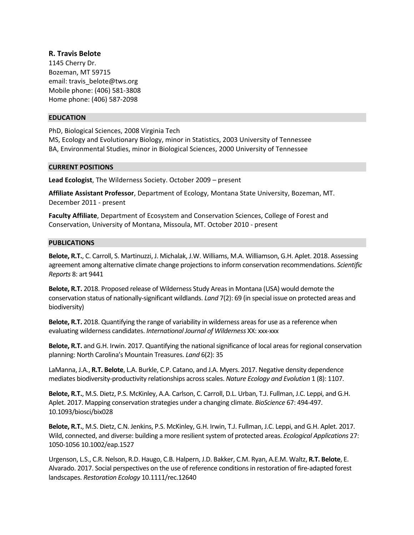# **R. Travis Belote**

1145 Cherry Dr. Bozeman, MT 59715 email: travis\_belote@tws.org Mobile phone: (406) 581‐3808 Home phone: (406) 587‐2098

## **EDUCATION**

PhD, Biological Sciences, 2008 Virginia Tech

MS, Ecology and Evolutionary Biology, minor in Statistics, 2003 University of Tennessee BA, Environmental Studies, minor in Biological Sciences, 2000 University of Tennessee

## **CURRENT POSITIONS**

**Lead Ecologist**, The Wilderness Society. October 2009 – present

**Affiliate Assistant Professor**, Department of Ecology, Montana State University, Bozeman, MT. December 2011 ‐ present

**Faculty Affiliate**, Department of Ecosystem and Conservation Sciences, College of Forest and Conservation, University of Montana, Missoula, MT. October 2010 ‐ present

## **PUBLICATIONS**

**Belote, R.T.**, C. Carroll, S. Martinuzzi, J. Michalak, J.W. Williams, M.A. Williamson, G.H. Aplet. 2018. Assessing agreement among alternative climate change projections to inform conservation recommendations. *Scientific Reports* 8: art 9441

**Belote, R.T.** 2018. Proposed release of Wilderness Study Areas in Montana (USA) would demote the conservation status of nationally‐significant wildlands. *Land* 7(2): 69 (in special issue on protected areas and biodiversity)

**Belote, R.T.** 2018. Quantifying the range of variability in wilderness areas for use as a reference when evaluating wilderness candidates. *International Journal of Wilderness* XX: xxx‐xxx

**Belote, R.T.** and G.H. Irwin. 2017. Quantifying the national significance of local areas for regional conservation planning: North Carolina's Mountain Treasures. *Land* 6(2): 35

LaManna, J.A., **R.T. Belote**, L.A. Burkle, C.P. Catano, and J.A. Myers. 2017. Negative density dependence mediates biodiversity‐productivity relationships across scales. *Nature Ecology and Evolution* 1 (8): 1107.

**Belote, R.T.**, M.S. Dietz, P.S. McKinley, A.A. Carlson, C. Carroll, D.L. Urban, T.J. Fullman, J.C. Leppi, and G.H. Aplet. 2017. Mapping conservation strategies under a changing climate. *BioScience* 67: 494‐497. 10.1093/biosci/bix028

**Belote, R.T.**, M.S. Dietz, C.N. Jenkins, P.S. McKinley, G.H. Irwin, T.J. Fullman, J.C. Leppi, and G.H. Aplet. 2017. Wild, connected, and diverse: building a more resilient system of protected areas. *Ecological Applications* 27: 1050‐1056 10.1002/eap.1527

Urgenson, L.S., C.R. Nelson, R.D. Haugo, C.B. Halpern, J.D. Bakker, C.M. Ryan, A.E.M. Waltz, **R.T. Belote**, E. Alvarado. 2017. Social perspectives on the use of reference conditions in restoration of fire‐adapted forest landscapes. *Restoration Ecology* 10.1111/rec.12640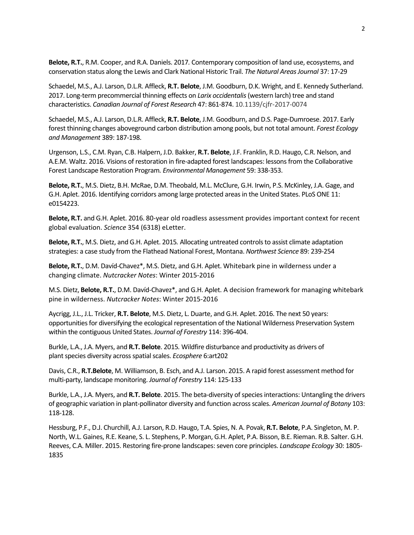**Belote, R.T.**, R.M. Cooper, and R.A. Daniels. 2017*.* Contemporary composition of land use, ecosystems, and conservation status along the Lewis and Clark National Historic Trail. *The Natural Areas Journal* 37: 17‐29

Schaedel, M.S., A.J. Larson, D.L.R. Affleck, **R.T. Belote**, J.M. Goodburn, D.K. Wright, and E. Kennedy Sutherland. 2017. Long‐term precommercial thinning effects on *Larix occidentalis* (western larch) tree and stand characteristics. *Canadian Journal of Forest Research* 47: 861‐874. 10.1139/cjfr‐2017‐0074

Schaedel, M.S., A.J. Larson, D.L.R. Affleck, **R.T. Belote**, J.M. Goodburn, and D.S. Page‐Dumroese. 2017. Early forest thinning changes aboveground carbon distribution among pools, but not total amount. *Forest Ecology and Management* 389: 187‐198.

Urgenson, L.S., C.M. Ryan, C.B. Halpern, J.D. Bakker, **R.T. Belote**, J.F. Franklin, R.D. Haugo, C.R. Nelson, and A.E.M. Waltz. 2016. Visions of restoration in fire‐adapted forest landscapes: lessons from the Collaborative Forest Landscape Restoration Program*. Environmental Management* 59: 338‐353.

**Belote, R.T.**, M.S. Dietz, B.H. McRae, D.M. Theobald, M.L. McClure, G.H. Irwin, P.S. McKinley, J.A. Gage, and G.H. Aplet. 2016. Identifying corridors among large protected areas in the United States. PLoS ONE 11: e0154223.

**Belote, R.T.** and G.H. Aplet. 2016. 80‐year old roadless assessment provides important context for recent global evaluation. *Science* 354 (6318) eLetter.

**Belote, R.T.**, M.S. Dietz, and G.H. Aplet. 2015*.* Allocating untreated controls to assist climate adaptation strategies: a case study from the Flathead National Forest, Montana. *Northwest Science* 89: 239‐254

**Belote, R.T.**, D.M. Davíd‐Chavez\*, M.S. Dietz, and G.H. Aplet. Whitebark pine in wilderness under a changing climate. *Nutcracker Notes*: Winter 2015‐2016

M.S. Dietz, **Belote, R.T.**, D.M. Davíd‐Chavez\*, and G.H. Aplet. A decision framework for managing whitebark pine in wilderness. *Nutcracker Notes*: Winter 2015‐2016

Aycrigg, J.L., J.L. Tricker, **R.T. Belote**, M.S. Dietz, L. Duarte, and G.H. Aplet. 2016. The next 50 years: opportunities for diversifying the ecological representation of the National Wilderness Preservation System within the contiguous United States. *Journal of Forestry* 114: 396‐404.

Burkle, L.A., J.A. Myers, and **R.T. Belote**. 2015*.* Wildfire disturbance and productivity as drivers of plant species diversity across spatial scales. *Ecosphere* 6:art202

Davis, C.R., **R.T.Belote**, M. Williamson, B. Esch, and A.J. Larson. 2015. A rapid forest assessment method for multi‐party, landscape monitoring. *Journal of Forestry* 114: 125‐133

Burkle, L.A., J.A. Myers, and **R.T. Belote**. 2015. The beta‐diversity of species interactions: Untangling the drivers of geographic variation in plant‐pollinator diversity and function across scales. *American Journal of Botany* 103: 118‐128.

Hessburg, P.F., D.J. Churchill, A.J. Larson, R.D. Haugo, T.A. Spies, N. A. Povak, **R.T. Belote**, P.A. Singleton, M. P. North, W.L. Gaines, R.E. Keane, S. L. Stephens, P. Morgan, G.H. Aplet, P.A. Bisson, B.E. Rieman. R.B. Salter. G.H. Reeves, C.A. Miller. 2015. Restoring fire‐prone landscapes: seven core principles. *Landscape Ecology* 30: 1805‐ 1835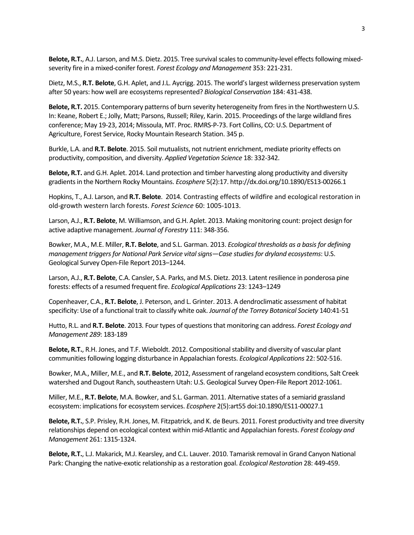Belote, R.T., A.J. Larson, and M.S. Dietz. 2015. Tree survival scales to community-level effects following mixedseverity fire in a mixed‐conifer forest. *Forest Ecology and Management* 353: 221‐231.

Dietz, M.S., **R.T. Belote**, G.H. Aplet, and J.L. Aycrigg. 2015. The world's largest wilderness preservation system after 50 years: how well are ecosystems represented? *Biological Conservation* 184: 431‐438.

**Belote, R.T.** 2015. Contemporary patterns of burn severity heterogeneity from fires in the Northwestern U.S. In: Keane, Robert E.; Jolly, Matt; Parsons, Russell; Riley, Karin. 2015. Proceedings of the large wildland fires conference; May 19‐23, 2014; Missoula, MT. Proc. RMRS‐P‐73. Fort Collins, CO: U.S. Department of Agriculture, Forest Service, Rocky Mountain Research Station. 345 p.

Burkle, L.A. and **R.T. Belote**. 2015. Soil mutualists, not nutrient enrichment, mediate priority effects on productivity, composition, and diversity. *Applied Vegetation Science* 18: 332‐342.

**Belote, R.T.** and G.H. Aplet. 2014. Land protection and timber harvesting along productivity and diversity gradients in the Northern Rocky Mountains. *Ecosphere* 5(2):17. http://dx.doi.org/10.1890/ES13‐00266.1

Hopkins, T., A.J. Larson, and **R.T. Belote**. 2014*.* Contrasting effects of wildfire and ecological restoration in old‐growth western larch forests. *Forest Science* 60: 1005‐1013.

Larson, A.J., **R.T. Belote**, M. Williamson, and G.H. Aplet. 2013. Making monitoring count: project design for active adaptive management. *Journal of Forestry* 111: 348‐356.

Bowker, M.A., M.E. Miller, **R.T. Belote**, and S.L. Garman. 2013. *Ecological thresholds as a basis for defining management triggers for National Park Service vital signs—Case studies for dryland ecosystems*: U.S. Geological Survey Open‐File Report 2013–1244.

Larson, A.J., **R.T. Belote**, C.A. Cansler, S.A. Parks, and M.S. Dietz. 2013. Latent resilience in ponderosa pine forests: effects of a resumed frequent fire. *Ecological Applications* 23: 1243–1249

Copenheaver, C.A., **R.T. Belote**, J. Peterson, and L. Grinter. 2013. A dendroclimatic assessment of habitat specificity: Use of a functional trait to classify white oak. *Journal of the Torrey Botanical Society* 140:41‐51

Hutto, R.L. and **R.T. Belote**. 2013*.* Four types of questions that monitoring can address. *Forest Ecology and Management 289*: 183‐189

**Belote, R.T.**, R.H. Jones, and T.F. Wieboldt. 2012. Compositional stability and diversity of vascular plant communities following logging disturbance in Appalachian forests. *Ecological Applications* 22: 502‐516.

Bowker, M.A., Miller, M.E., and **R.T. Belote**, 2012, Assessment of rangeland ecosystem conditions, Salt Creek watershed and Dugout Ranch, southeastern Utah: U.S. Geological Survey Open‐File Report 2012‐1061.

Miller, M.E., **R.T. Belote**, M.A. Bowker, and S.L. Garman. 2011. Alternative states of a semiarid grassland ecosystem: implications for ecosystem services. *Ecosphere* 2(5):art55 doi:10.1890/ES11‐00027.1

**Belote, R.T.**, S.P. Prisley, R.H. Jones, M. Fitzpatrick, and K. de Beurs. 2011. Forest productivity and tree diversity relationships depend on ecological context within mid‐Atlantic and Appalachian forests. *Forest Ecology and Management* 261: 1315‐1324.

**Belote, R.T.**, L.J. Makarick, M.J. Kearsley, and C.L. Lauver. 2010. Tamarisk removal in Grand Canyon National Park: Changing the native‐exotic relationship as a restoration goal. *Ecological Restoration* 28: 449‐459.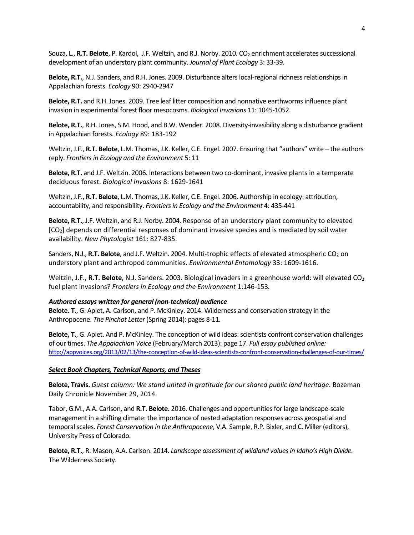Souza, L., **R.T. Belote**, P. Kardol, J.F. Weltzin, and R.J. Norby. 2010. CO<sub>2</sub> enrichment accelerates successional development of an understory plant community. *Journal of Plant Ecology* 3: 33‐39.

**Belote, R.T.**, N.J. Sanders, and R.H. Jones. 2009. Disturbance alters local‐regional richness relationships in Appalachian forests. *Ecology* 90: 2940‐2947

**Belote, R.T.** and R.H. Jones. 2009. Tree leaf litter composition and nonnative earthworms influence plant invasion in experimental forest floor mesocosms. *Biological Invasions* 11: 1045‐1052.

**Belote, R.T.**, R.H. Jones, S.M. Hood, and B.W. Wender. 2008. Diversity‐invasibility along a disturbance gradient in Appalachian forests. *Ecology* 89: 183‐192

Weltzin, J.F., **R.T. Belote**, L.M. Thomas, J.K. Keller, C.E. Engel. 2007. Ensuring that "authors" write – the authors reply. *Frontiers in Ecology and the Environment* 5: 11

**Belote, R.T.** and J.F. Weltzin. 2006. Interactions between two co-dominant, invasive plants in a temperate deciduous forest. *Biological Invasions* 8: 1629‐1641

Weltzin, J.F., **R.T. Belote**, L.M. Thomas, J.K. Keller, C.E. Engel. 2006. Authorship in ecology: attribution, accountability, and responsibility. *Frontiers in Ecology and the Environment* 4: 435‐441

**Belote, R.T.**, J.F. Weltzin, and R.J. Norby. 2004. Response of an understory plant community to elevated [CO2] depends on differential responses of dominant invasive species and is mediated by soil water availability. *New Phytologist* 161: 827‐835.

Sanders, N.J., R.T. Belote, and J.F. Weltzin. 2004. Multi-trophic effects of elevated atmospheric CO<sub>2</sub> on understory plant and arthropod communities. *Environmental Entomology* 33: 1609‐1616.

Weltzin, J.F., **R.T. Belote**, N.J. Sanders. 2003. Biological invaders in a greenhouse world: will elevated CO<sub>2</sub> fuel plant invasions? *Frontiers in Ecology and the Environment* 1:146‐153*.*

## *Authored essays written for general (non‐technical) audience*

**Belote. T.**, G. Aplet, A. Carlson, and P. McKinley. 2014. Wilderness and conservation strategy in the Anthropocene. *The Pinchot Letter* (Spring 2014): pages 8‐11*.*

**Belote, T.**, G. Aplet. And P. McKinley. The conception of wild ideas: scientists confront conservation challenges of our times. *The Appalachian Voice* (February/March 2013): page 17. *Full essay published online:* http://appvoices.org/2013/02/13/the‐conception‐of‐wild‐ideas‐scientists‐confront‐conservation‐challenges‐of‐our‐times/

## *Select Book Chapters, Technical Reports, and Theses*

**Belote, Travis.** *Guest column: We stand united in gratitude for our shared public land heritage*. Bozeman Daily Chronicle November 29, 2014.

Tabor, G.M., A.A. Carlson, and **R.T. Belote.** 2016. Challenges and opportunities for large landscape‐scale management in a shifting climate: the importance of nested adaptation responses across geospatial and temporal scales. *Forest Conservation in the Anthropocene*, V.A. Sample, R.P. Bixler, and C. Miller (editors), University Press of Colorado.

**Belote, R.T.**, R. Mason, A.A. Carlson. 2014. *Landscape assessment of wildland values in Idaho's High Divide.* The Wilderness Society.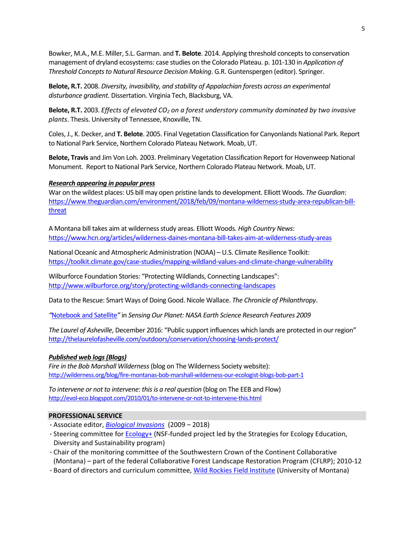Bowker, M.A., M.E. Miller, S.L. Garman. and **T. Belote**. 2014. Applying threshold concepts to conservation management of dryland ecosystems: case studies on the Colorado Plateau. p. 101‐130 in *Application of Threshold Concepts to Natural Resource Decision Making*. G.R. Guntenspergen (editor). Springer.

**Belote, R.T.** 2008. *Diversity, invasibility, and stability of Appalachian forests across an experimental disturbance gradient.* Dissertation. Virginia Tech, Blacksburg, VA.

**Belote, R.T.** 2003. *Effects of elevated CO2 on a forest understory community dominated by two invasive plants*. Thesis. University of Tennessee, Knoxville, TN.

Coles, J., K. Decker, and **T. Belote**. 2005. Final Vegetation Classification for Canyonlands National Park. Report to National Park Service, Northern Colorado Plateau Network. Moab, UT.

**Belote, Travis** and Jim Von Loh. 2003. Preliminary Vegetation Classification Report for Hovenweep National Monument. Report to National Park Service, Northern Colorado Plateau Network. Moab, UT.

### *Research appearing in popular press*

War on the wildest places: US bill may open pristine lands to development. Elliott Woods. *The Guardian*: https://www.theguardian.com/environment/2018/feb/09/montana-wilderness-study-area-republican-billthreat

A Montana bill takes aim at wilderness study areas. Elliott Woods. *High Country News*: https://www.hcn.org/articles/wilderness‐daines‐montana‐bill‐takes‐aim‐at‐wilderness‐study‐areas

National Oceanic and Atmospheric Administration (NOAA) – U.S. Climate Resilience Toolkit: https://toolkit.climate.gov/case‐studies/mapping‐wildland‐values‐and‐climate‐change‐vulnerability

Wilburforce Foundation Stories: "Protecting Wildlands, Connecting Landscapes": http://www.wilburforce.org/story/protecting‐wildlands‐connecting‐landscapes

Data to the Rescue: Smart Ways of Doing Good. Nicole Wallace. *The Chronicle of Philanthropy*.

*"*Notebook and Satellite*"* in *Sensing Our Planet: NASA Earth Science Research Features 2009* 

*The Laurel of Asheville*, December 2016: "Public support influences which lands are protected in our region" http://thelaurelofasheville.com/outdoors/conservation/choosing-lands-protect/

## *Published web logs (Blogs)*

*Fire in the Bob Marshall Wilderness* (blog on The Wilderness Society website): http://wilderness.org/blog/fire‐montanas‐bob‐marshall‐wilderness‐our‐ecologist‐blogs‐bob‐part‐1

*To intervene or not to intervene: this is a real question* (blog on The EEB and Flow) http://evol-eco.blogspot.com/2010/01/to-intervene-or-not-to-intervene-this.html

## **PROFESSIONAL SERVICE**

- ·Associate editor, *Biological Invasions*  (2009 2018)
- ·Steering committee for Ecology+ (NSF‐funded project led by the Strategies for Ecology Education, Diversity and Sustainability program)
- ·Chair of the monitoring committee of the Southwestern Crown of the Continent Collaborative (Montana) – part of the federal Collaborative Forest Landscape Restoration Program (CFLRP); 2010‐12
- ·Board of directors and curriculum committee, Wild Rockies Field Institute (University of Montana)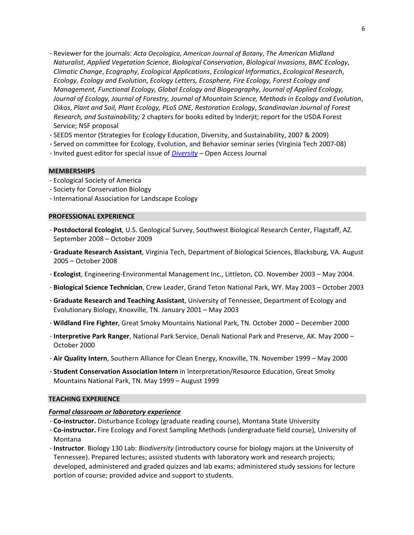- ·Reviewer for the journals: *Acta Oecologica*, *American Journal of Botany*, *The American Midland Naturalist*, *Applied Vegetation Science*, *Biological Conservation*, *Biological Invasions*, *BMC Ecology*, *Climatic Change*, *Ecography*, *Ecological Applications*, *Ecological Informatics*, *Ecological Research*, *Ecology*, *Ecology and Evolution*, *Ecology Letters, Ecosphere, Fire Ecology, Forest Ecology and Management, Functional Ecology, Global Ecology and Biogeography, Journal of Applied Ecology, Journal of Ecology, Journal of Forestry, Journal of Mountain Science, Methods in Ecology and Evolution*, *Oikos*, *Plant and Soil, Plant Ecology, PLoS ONE, Restoration Ecology*, *Scandinavian Journal of Forest Research, and Sustainability;* 2 chapters for books edited by Inderjit; report for the USDA Forest Service; NSF proposal
- ·SEEDS mentor (Strategies for Ecology Education, Diversity, and Sustainability, 2007 & 2009)
- ·Served on committee for Ecology, Evolution, and Behavior seminar series (Virginia Tech 2007‐08)
- ·Invited guest editor for special issue of *Diversity* Open Access Journal

### **MEMBERSHIPS**

- ·Ecological Society of America
- ·Society for Conservation Biology
- ·International Association for Landscape Ecology

### **PROFESSIONAL EXPERIENCE**

- ·**Postdoctoral Ecologist**, U.S. Geological Survey, Southwest Biological Research Center, Flagstaff, AZ. September 2008 – October 2009
- ·**Graduate Research Assistant**, Virginia Tech, Department of Biological Sciences, Blacksburg, VA. August 2005 – October 2008
- ·**Ecologist**, Engineering‐Environmental Management Inc., Littleton, CO. November 2003 May 2004.
- ·**Biological Science Technician**, Crew Leader, Grand Teton National Park, WY. May 2003 October 2003
- ·**Graduate Research and Teaching Assistant**, University of Tennessee, Department of Ecology and Evolutionary Biology, Knoxville, TN. January 2001 – May 2003
- ·**Wildland Fire Fighter**, Great Smoky Mountains National Park, TN. October 2000 December 2000
- ·**Interpretive Park Ranger**, National Park Service, Denali National Park and Preserve, AK. May 2000 October 2000
- ·**Air Quality Intern**, Southern Alliance for Clean Energy, Knoxville, TN. November 1999 May 2000
- ·**Student Conservation Association Intern** in Interpretation/Resource Education, Great Smoky Mountains National Park, TN. May 1999 – August 1999

### **TEACHING EXPERIENCE**

#### *Formal classroom or laboratory experience*

- ·**Co‐instructor.** Disturbance Ecology (graduate reading course), Montana State University
- ·**Co‐instructor.** Fire Ecology and Forest Sampling Methods (undergraduate field course), University of Montana
- ·**Instructor**. Biology 130 Lab: *Biodiversity* (introductory course for biology majors at the University of Tennessee). Prepared lectures; assisted students with laboratory work and research projects; developed, administered and graded quizzes and lab exams; administered study sessions for lecture portion of course; provided advice and support to students.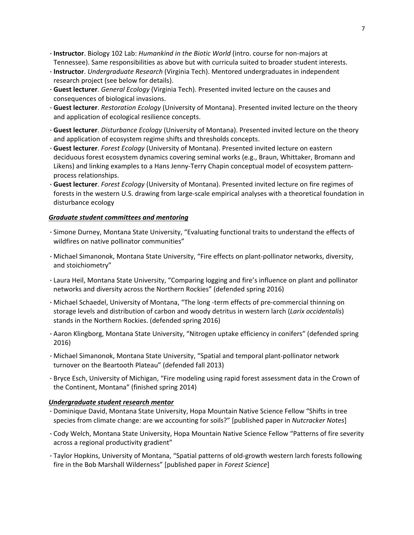- ·**Instructor**. Biology 102 Lab: *Humankind in the Biotic World* (intro. course for non‐majors at Tennessee). Same responsibilities as above but with curricula suited to broader student interests.
- ·**Instructor**. *Undergraduate Research* (Virginia Tech). Mentored undergraduates in independent research project (see below for details).
- ·**Guest lecturer**. *General Ecology* (Virginia Tech). Presented invited lecture on the causes and consequences of biological invasions.
- ·**Guest lecturer**. *Restoration Ecology* (University of Montana). Presented invited lecture on the theory and application of ecological resilience concepts.
- ·**Guest lecturer**. *Disturbance Ecology* (University of Montana). Presented invited lecture on the theory and application of ecosystem regime shifts and thresholds concepts.
- ·**Guest lecturer**. *Forest Ecology* (University of Montana). Presented invited lecture on eastern deciduous forest ecosystem dynamics covering seminal works (e.g., Braun, Whittaker, Bromann and Likens) and linking examples to a Hans Jenny‐Terry Chapin conceptual model of ecosystem pattern‐ process relationships.
- ·**Guest lecturer**. *Forest Ecology* (University of Montana). Presented invited lecture on fire regimes of forests in the western U.S. drawing from large-scale empirical analyses with a theoretical foundation in disturbance ecology

# *Graduate student committees and mentoring*

- ·Simone Durney, Montana State University, "Evaluating functional traits to understand the effects of wildfires on native pollinator communities"
- ·Michael Simanonok, Montana State University, "Fire effects on plant‐pollinator networks, diversity, and stoichiometry"
- ·Laura Heil, Montana State University, "Comparing logging and fire's influence on plant and pollinator networks and diversity across the Northern Rockies" (defended spring 2016)
- ·Michael Schaedel, University of Montana, "The long ‐term effects of pre‐commercial thinning on storage levels and distribution of carbon and woody detritus in western larch (*Larix occidentalis*) stands in the Northern Rockies. (defended spring 2016)
- ·Aaron Klingborg, Montana State University, "Nitrogen uptake efficiency in conifers" (defended spring 2016)
- ·Michael Simanonok, Montana State University, "Spatial and temporal plant‐pollinator network turnover on the Beartooth Plateau" (defended fall 2013)
- ·Bryce Esch, University of Michigan, "Fire modeling using rapid forest assessment data in the Crown of the Continent, Montana" (finished spring 2014)

# *Undergraduate student research mentor*

- ·Dominique David, Montana State University, Hopa Mountain Native Science Fellow "Shifts in tree species from climate change: are we accounting for soils?" [published paper in *Nutcracker Notes*]
- ·Cody Welch, Montana State University, Hopa Mountain Native Science Fellow "Patterns of fire severity across a regional productivity gradient"
- ·Taylor Hopkins, University of Montana, "Spatial patterns of old‐growth western larch forests following fire in the Bob Marshall Wilderness" [published paper in *Forest Science*]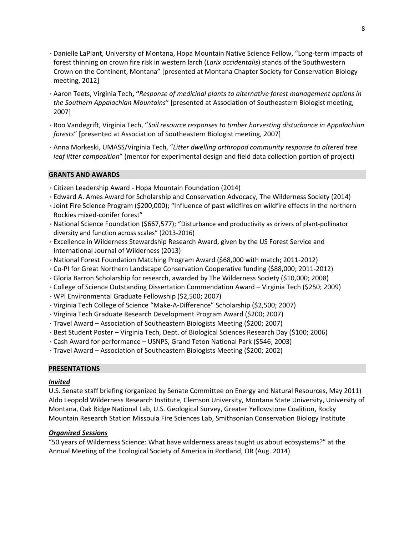- ·Danielle LaPlant, University of Montana, Hopa Mountain Native Science Fellow, "Long‐term impacts of forest thinning on crown fire risk in western larch (*Larix occidentalis*) stands of the Southwestern Crown on the Continent, Montana" [presented at Montana Chapter Society for Conservation Biology meeting, 2012]
- ·Aaron Teets, Virginia Tech**, "***Response of medicinal plants to alternative forest management options in the Southern Appalachian Mountains*" [presented at Association of Southeastern Biologist meeting, 2007]
- ·Roo Vandegrift, Virginia Tech, "*Soil resource responses to timber harvesting disturbance in Appalachian forests*" [presented at Association of Southeastern Biologist meeting, 2007]
- ·Anna Morkeski, UMASS/Virginia Tech, "*Litter dwelling arthropod community response to altered tree leaf litter composition*" (mentor for experimental design and field data collection portion of project)

## **GRANTS AND AWARDS**

- ·Citizen Leadership Award ‐ Hopa Mountain Foundation (2014)
- ·Edward A. Ames Award for Scholarship and Conservation Advocacy, The Wilderness Society (2014)
- ·Joint Fire Science Program (\$200,000); "Influence of past wildfires on wildfire effects in the northern Rockies mixed‐conifer forest"
- ·National Science Foundation (\$667,577); "Disturbance and productivity as drivers of plant‐pollinator diversity and function across scales" (2013‐2016)
- ·Excellence in Wilderness Stewardship Research Award, given by the US Forest Service and International Journal of Wilderness (2013)
- ·National Forest Foundation Matching Program Award (\$68,000 with match; 2011‐2012)
- ·Co‐PI for Great Northern Landscape Conservation Cooperative funding (\$88,000; 2011‐2012)
- ·Gloria Barron Scholarship for research, awarded by The Wilderness Society (\$10,000; 2008)
- ·College of Science Outstanding Dissertation Commendation Award Virginia Tech (\$250; 2009)
- ·WPI Environmental Graduate Fellowship (\$2,500; 2007)
- ·Virginia Tech College of Science "Make‐A‐Difference" Scholarship (\$2,500; 2007)
- ·Virginia Tech Graduate Research Development Program Award (\$200; 2007)
- ·Travel Award Association of Southeastern Biologists Meeting (\$200; 2007)
- ·Best Student Poster Virginia Tech, Dept. of Biological Sciences Research Day (\$100; 2006)
- ·Cash Award for performance USNPS, Grand Teton National Park (\$546; 2003)
- ·Travel Award Association of Southeastern Biologists Meeting (\$200; 2002)

## **PRESENTATIONS**

## *Invited*

U.S. Senate staff briefing (organized by Senate Committee on Energy and Natural Resources, May 2011) Aldo Leopold Wilderness Research Institute, Clemson University, Montana State University, University of Montana, Oak Ridge National Lab, U.S. Geological Survey, Greater Yellowstone Coalition, Rocky Mountain Research Station Missoula Fire Sciences Lab, Smithsonian Conservation Biology Institute

# *Organized Sessions*

"50 years of Wilderness Science: What have wilderness areas taught us about ecosystems?" at the Annual Meeting of the Ecological Society of America in Portland, OR (Aug. 2014)